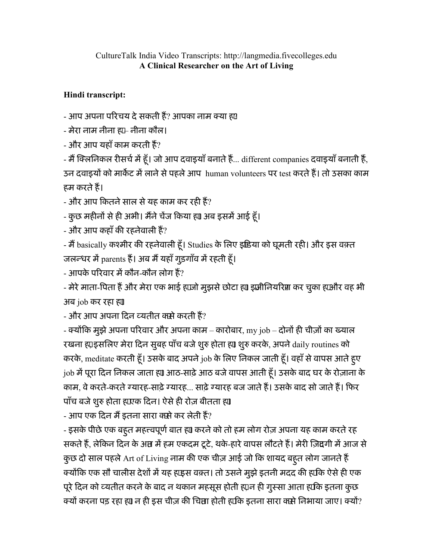## CultureTalk India Video Transcripts: http://langmedia.fivecolleges.edu A Clinical Researcher on the Art of Living

## Hindi transcript:

- आप अपना परिचय दे सकती हैं? आपका नाम क्या ह्य

- मेरा नाम नीना ह्य⊢ नीना कौल।

- और आप यहाँ काम करती हैं?

- मैं क्लिनिकल रीसर्च में हूँ। जो आप दवाइयाँ बनाते हैं... different companies दवाइयाँ बनाती हैं, उन दवाइयों को मार्केट में लाने से पहले आप human volunteers पर test करते हैं। तो उसका काम हम करतेह।

- और आप कितने साल से यह काम कर रही हैं?

- कुछ महीनों से ही अभी। मैंने चेंज किया ह्या अब इसमें आई हूँ।

- और आप कहाँ की रहनेवाली हैं?

- मैं basically कश्मीर की रहनेवाली हूँ। Studies के लिए इंडिया को घूमती रही। और इस वक़्त जलन्धर में parents हैं। अब मैं यहाँ गुड़गाँव में रहती हूँ।

- आपके परिवार में कौन-कौन लोग हैं?

- मेरे माता-पिता हैं और मेरा एक भाई ह़ाजो मुझसे छोटा ह़्या इ़ाजीनियरिष्टा कर चुका ह़ाओर वह भी अब job कर रहा ह्या

- और आप अपना दिन व्यतीत क्से करती हैं?

- क्योंकि मुझे अपना परिवार और अपना काम – कारोबार, my job – दोनों ही चीज़ों का ख्याल रखना ह़ाइसलिए मेरा दिन सुबह पाँच बजे शुरु होता ह़ा शुरु करके, अपने daily routines को करके, meditate करती हूँ। उसके बाद अपने job के लिए निकल जाती हूँ। वहाँ से वापस आते हुए job में पूरा दिन निकल जाता ह्या आठ-साढ़े आठ बजे वापस आती हूँ। उसके बाद घर के रोज़ाना के काम, वे करते-करते ग्यारह-साढ़े ग्यारह... साढ़े ग्यारह बज जाते हैं। उसके बाद सो जाते हैं। फिर पाँच बजे शुरु होता ह़ाएक दिन। ऐसे ही रोज़ बीतता ह्या

- आप एक दिन मैं इतना सारा क्से कर लेती हैं?

- इसके पीछे एक बहुत महत्त्वपूर्ण बात ह्या करने को तो हम लोग रोज़ अपना यह काम करते रह सकते हैं, लेकिन दिन के अप्त में हम एकदम टूटे, थके-हारे वापस लौटते हैं। मेरी ज़िद्दगी में आज से कुछ दो साल पहले Art of Living नाम की एक चीज़ आई जो कि शायद बहुत लोग जानते हैं क्योंकि एक सौ चालीस देशों में यह ह़ाइस वक़्त। तो उसने मुझे इतनी मदद की ह़ाकि ऐसे ही एक पूरे दिन को व्यतीत करने के बाद न थकान महसूस होती ह़्यन ही गुस्सा आता ह़ाकि इतना कुछ क्यों करना पड़ रहा ह़्या न ही इस चीज़ की चिम्रा होती ह़ाकि इतना सारा कसे निभाया जाए। क्यों?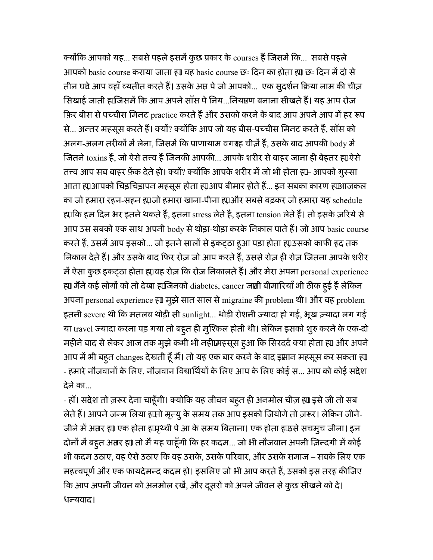क्योंकि आपको यह... सबसे पहले इसमें कुछ प्रकार के courses हैं जिसमें कि... सबसे पहले आपको basic course कराया जाता ह्या वह basic course छः दिन का होता ह्या छः दिन में दो से तीन घंटे आप वहाँ व्यतीत करते हैं। उसके अंत पे जो आपको... एक सुदर्शन क्रिया नाम की चीज़ सिखाई जाती ह़ाजिसमें कि आप अपने साँस पे निय...नियघ्वण बनाना सीखते हैं। यह आप रोज़ फ़िर बीस से पच्चीस मिनट practice करते हैं और उसको करने के बाद आप अपने आप में हर रूप से... अन्तर महसूस करते हैं। क्यों? क्योंकि आप जो यह बीस-पच्चीस मिनट करते हैं, साँस को अलग-अलग तरीकों में लेना, जिसमें कि प्राणायाम वगा ह चीज़ें हैं, उसके बाद आपकी  $\mathrm{body}$  में जितने toxins हैं, जो ऐसे तत्त्व हैं जिनकी आपकी... आपके शरीर से बाहर जाना ही बेहतर ह़्एऐसे तत्त्व आप सब बाहर फ़ेंक देते हो। क्यों? क्योंकि आपके शरीर में जो भी होता ह़ा– आपको गुस्सा आता ह़्य,आपको चिड़चिड़ापन महसूस होता ह्यूआप बीमार होते हैं... इन सबका कारण ह़ाआजकल का जो हमारा रहन-सहन ह़ाजो हमारा खाना-पीना ह़ाओर सबसे बढ़कर जो हमारा यह schedule ह्माकि हम दिन भर इतने थकते हैं, इतना stress लेते हैं, इतना tension लेते हैं। तो इसके ज़रिये से आप उस सबको एक साथ अपनी body से थोड़ा-थोड़ा करके निकाल पाते हैं। जो आप basic course करते हैं, उसमें आप इसको... जो इतने सालों से इकट्ठा हूआ पड़ा होता ह़्य उसको काफी हद तक निकाल देते हैं। और उसके बाद फिर रोज़ जो आप करते हैं, उससे रोज़ ही रोज़ जितना आपके शरीर में ऐसा कुछ इकट्ठा होता ह़्यवह रोज़ कि रोज़ निकालते हैं। और मेरा अपना personal experience ह्या मैंने कई लोगों को तो देखा ह़्यजिनको diabetes, cancer जस्री बीमारियाँ भी ठीक हुई हैं लेकिन अपना personal experience ह्या मुझे सात साल से migraine की problem थी। और वह problem इतनी severe थी कि मतलब थोड़ी सी sunlight... थोड़ी रोशनी ज़्यादा हो गई, भूख ज़्यादा लग गई या travel ज़्यादा करना पड़ गया तो बहुत ही मुश्किल होती थी। लेकिन इसको शुरु करने के एक-दो महीने बाद से लेकर आज तक मुझे कभी भी नहीक्रिहसूस हूआ कि सिरदर्द क्या होता ह़्या और अपने आप में भी बहुत changes देखती हूँ मैं। तो यह एक बार करने के बाद इक्षान महसूस कर सकता ह्य - हमारे नौजवानों के लिए, नौजवान विद्यार्थियों के लिए आप के लिए कोई स... आप को कोई संदेश देनेका...

- हाँ। संदेश तो ज़रूर देना चाहूँगी। क्योकि यह जीवन बहूत ही अनमोल चीज़ ह्या इसे जी तो सब लेते हैं। आपने जन्म लिया ह़ामो मृत्यु के समय तक आप इसको जियोगे तो ज़रूर। लेकिन जीने-जीने में अप्तर ह़्या एक होता ह़ापृथ्वी पे आ के समय बिताना। एक होता ह़ाऊसे सचमुच जीना। इन दोनों में बह्त अ़मर ह़्या तो मैं यह चाहूँगी कि हर कदम... जो भी नौजवान अपनी ज़िन्दगी में कोई भी कदम उठाए, वह ऐसे उठाए कि वह उसके, उसके परिवार, और उसके समाज – सबके लिए एक महत्त्वपूर्ण और एक फायदेमन्द कदम हो। इसलिए जो भी आप करते हैं, उसको इस तरह कीजिए कि आप अपनी जीवन को अनमोल रखें, और दूसरों को अपने जीवन से कुछ सीखने को दें। धन्यवाद।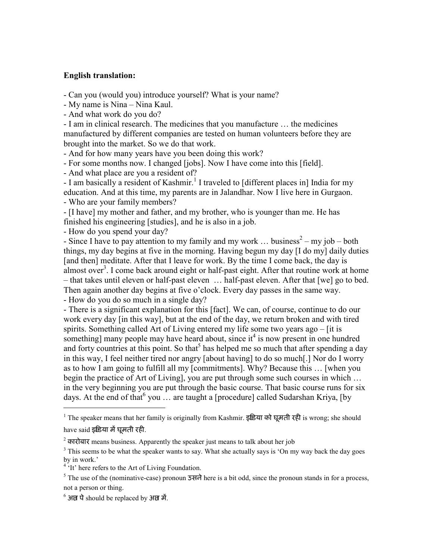## English translation:

- Can you (would you) introduce yourself? What is your name?

- My name is Nina – Nina Kaul.

- And what work do you do?

- I am in clinical research. The medicines that you manufacture … the medicines manufactured by different companies are tested on human volunteers before they are brought into the market. So we do that work.

- And for how many years have you been doing this work?

- For some months now. I changed [jobs]. Now I have come into this [field].

- And what place are you a resident of?

- I am basically a resident of Kashmir.<sup>1</sup> I traveled to [different places in] India for my education. And at this time, my parents are in Jalandhar. Now I live here in Gurgaon.

- Who are your family members?

- [I have] my mother and father, and my brother, who is younger than me. He has finished his engineering [studies], and he is also in a job.

- How do you spend your day?

- Since I have to pay attention to my family and my work ... business<sup>2</sup> – my job – both things, my day begins at five in the morning. Having begun my day [I do my] daily duties [and then] meditate. After that I leave for work. By the time I come back, the day is almost over<sup>3</sup>. I come back around eight or half-past eight. After that routine work at home – that takes until eleven or half-past eleven … half-past eleven. After that [we] go to bed. Then again another day begins at five o'clock. Every day passes in the same way. - How do you do so much in a single day?

- There is a significant explanation for this [fact]. We can, of course, continue to do our work every day [in this way], but at the end of the day, we return broken and with tired spirits. Something called Art of Living entered my life some two years ago – [it is something] many people may have heard about, since it<sup>4</sup> is now present in one hundred and forty countries at this point. So that<sup>5</sup> has helped me so much that after spending a day in this way, I feel neither tired nor angry [about having] to do so much[.] Nor do I worry as to how I am going to fulfill all my [commitments]. Why? Because this … [when you begin the practice of Art of Living], you are put through some such courses in which … in the very beginning you are put through the basic course. That basic course runs for six days. At the end of that  $6$  you  $\ldots$  are taught a [procedure] called Sudarshan Kriya, [by

<sup>1</sup> The speaker means that her family is originally from Kashmir. इष्टिया को घूमती रही is wrong; she should have said इंडिया में घूमती रही.

 $\overline{a}$ 

<sup>&</sup>lt;sup>2</sup> कारोबार means business. Apparently the speaker just means to talk about her job

 $3$  This seems to be what the speaker wants to say. What she actually says is 'On my way back the day goes by in work.'<br><sup>4</sup> 'It' here refers to the Art of Living Foundation.

The use of the (nominative-case) pronoun  $\overline{3}$  and here is a bit odd, since the pronoun stands in for a process, not a person or thing.

 $^6$  अंत पे should be replaced by अंत में.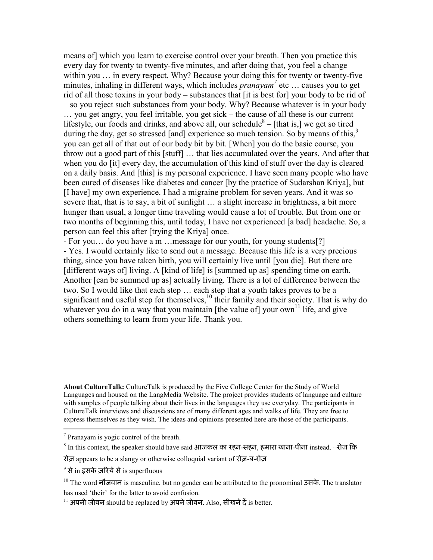means of] which you learn to exercise control over your breath. Then you practice this every day for twenty to twenty-five minutes, and after doing that, you feel a change within you ... in every respect. Why? Because your doing this for twenty or twenty-five minutes, inhaling in different ways, which includes  $pranayam^7$  etc ... causes you to get rid of all those toxins in your body – substances that [it is best for] your body to be rid of – so you reject such substances from your body. Why? Because whatever is in your body … you get angry, you feel irritable, you get sick – the cause of all these is our current lifestyle, our foods and drinks, and above all, our schedule  $8 -$  [that is,] we get so tired during the day, get so stressed [and] experience so much tension. So by means of this,<sup>9</sup> you can get all of that out of our body bit by bit. [When] you do the basic course, you throw out a good part of this [stuff] … that lies accumulated over the years. And after that when you do [it] every day, the accumulation of this kind of stuff over the day is cleared on a daily basis. And [this] is my personal experience. I have seen many people who have been cured of diseases like diabetes and cancer [by the practice of Sudarshan Kriya], but [I have] my own experience. I had a migraine problem for seven years. And it was so severe that, that is to say, a bit of sunlight … a slight increase in brightness, a bit more hunger than usual, a longer time traveling would cause a lot of trouble. But from one or two months of beginning this, until today, I have not experienced [a bad] headache. So, a person can feel this after [trying the Kriya] once.

- For you... do you have a m ... message for our youth, for young students[?] - Yes. I would certainly like to send out a message. Because this life is a very precious thing, since you have taken birth, you will certainly live until [you die]. But there are [different ways of] living. A [kind of life] is [summed up as] spending time on earth. Another [can be summed up as] actually living. There is a lot of difference between the two. So I would like that each step … each step that a youth takes proves to be a significant and useful step for themselves,  $\frac{10}{10}$  their family and their society. That is why do whatever you do in a way that you maintain [the value of] your own<sup>11</sup> life, and give others something to learn from your life. Thank you.

About CultureTalk: CultureTalk is produced by the Five College Center for the Study of World Languages and housed on the LangMedia Website. The project provides students of language and culture with samples of people talking about their lives in the languages they use everyday. The participants in CultureTalk interviews and discussions are of many different ages and walks of life. They are free to express themselves as they wish. The ideas and opinions presented here are those of the participants.

 7 Pranayam is yogic control of the breath.

 $^8$  In this context, the speaker should have said आजकल का रहन-सहन, हमारा खाना-पीना instead.  $\pm$ रोज़ कि

रोज़ appears to be a slangy or otherwise colloquial variant of रोज़-ब-रोज़

 $^9$  से in इसके ज़रिये से is superfluous

<sup>10</sup> The word नौजवान is masculine, but no gender can be attributed to the pronominal उसके. The translator has used 'their' for the latter to avoid confusion.

 $^{11}$  अपनी जीवन should be replaced by अपने जीवन. Also, सीखने दें is better.